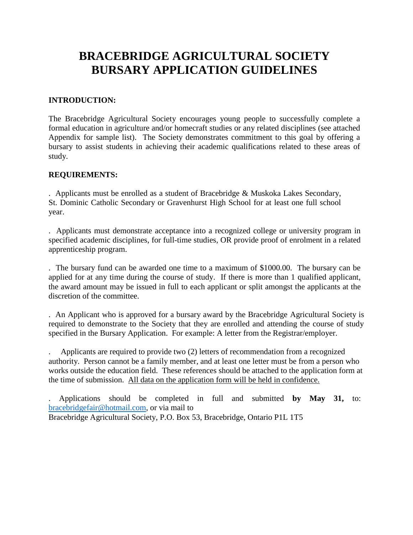## **BRACEBRIDGE AGRICULTURAL SOCIETY BURSARY APPLICATION GUIDELINES**

## **INTRODUCTION:**

The Bracebridge Agricultural Society encourages young people to successfully complete a formal education in agriculture and/or homecraft studies or any related disciplines (see attached Appendix for sample list). The Society demonstrates commitment to this goal by offering a bursary to assist students in achieving their academic qualifications related to these areas of study.

## **REQUIREMENTS:**

. Applicants must be enrolled as a student of Bracebridge & Muskoka Lakes Secondary, St. Dominic Catholic Secondary or Gravenhurst High School for at least one full school year.

. Applicants must demonstrate acceptance into a recognized college or university program in specified academic disciplines, for full-time studies, OR provide proof of enrolment in a related apprenticeship program.

. The bursary fund can be awarded one time to a maximum of \$1000.00. The bursary can be applied for at any time during the course of study. If there is more than 1 qualified applicant, the award amount may be issued in full to each applicant or split amongst the applicants at the discretion of the committee.

. An Applicant who is approved for a bursary award by the Bracebridge Agricultural Society is required to demonstrate to the Society that they are enrolled and attending the course of study specified in the Bursary Application. For example: A letter from the Registrar/employer.

. Applicants are required to provide two (2) letters of recommendation from a recognized authority. Person cannot be a family member, and at least one letter must be from a person who works outside the education field. These references should be attached to the application form at the time of submission. All data on the application form will be held in confidence.

. Applications should be completed in full and submitted **by May 31,** to: [bracebridgefair@hotmail.com,](mailto:bracebridgefair@hotmail.com) or via mail to Bracebridge Agricultural Society, P.O. Box 53, Bracebridge, Ontario P1L 1T5